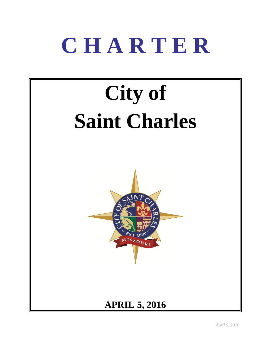# **C H A R T E R**

# **City of Saint Charles**



## **APRIL 5, 2016**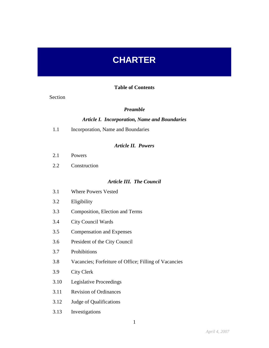## **CHARTER**

#### **Table of Contents**

#### Section

#### *Preamble*

#### *Article I. Incorporation, Name and Boundaries*

1.1 Incorporation, Name and Boundaries

#### *Article II. Powers*

- 2.1 Powers
- 2.2 Construction

#### *Article III. The Council*

- 3.1 Where Powers Vested
- 3.2 Eligibility
- 3.3 Composition, Election and Terms
- 3.4 City Council Wards
- 3.5 Compensation and Expenses
- 3.6 President of the City Council
- 3.7 Prohibitions
- 3.8 Vacancies; Forfeiture of Office; Filling of Vacancies
- 3.9 City Clerk
- 3.10 Legislative Proceedings
- 3.11 Revision of Ordinances
- 3.12 Judge of Qualifications
- 3.13 Investigations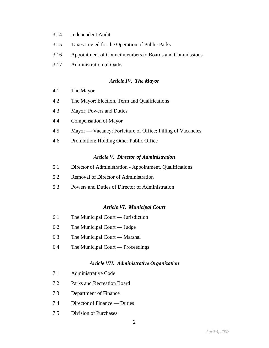- 3.14 Independent Audit
- 3.15 Taxes Levied for the Operation of Public Parks
- 3.16 Appointment of Councilmembers to Boards and Commissions
- 3.17 Administration of Oaths

#### *Article IV. The Mayor*

- 4.1 The Mayor
- 4.2 The Mayor; Election, Term and Qualifications
- 4.3 Mayor; Powers and Duties
- 4.4 Compensation of Mayor
- 4.5 Mayor Vacancy; Forfeiture of Office; Filling of Vacancies
- 4.6 Prohibition; Holding Other Public Office

#### *Article V. Director of Administration*

- 5.1 Director of Administration Appointment, Qualifications
- 5.2 Removal of Director of Administration
- 5.3 Powers and Duties of Director of Administration

#### *Article VI. Municipal Court*

- 6.1 The Municipal Court Jurisdiction
- 6.2 The Municipal Court Judge
- 6.3 The Municipal Court Marshal
- 6.4 The Municipal Court Proceedings

#### *Article VII. Administrative Organization*

- 7.1 Administrative Code
- 7.2 Parks and Recreation Board
- 7.3 Department of Finance
- 7.4 Director of Finance Duties
- 7.5 Division of Purchases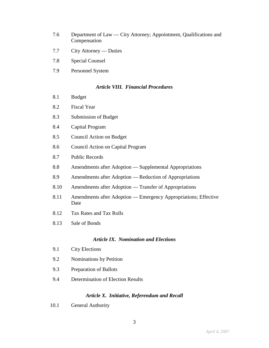- 7.6 Department of Law City Attorney; Appointment, Qualifications and Compensation
- 7.7 City Attorney Duties
- 7.8 Special Counsel
- 7.9 Personnel System

#### *Article VIII. Financial Procedures*

- 8.1 Budget
- 8.2 Fiscal Year
- 8.3 Submission of Budget
- 8.4 Capital Program
- 8.5 Council Action on Budget
- 8.6 Council Action on Capital Program
- 8.7 Public Records
- 8.8 Amendments after Adoption Supplemental Appropriations
- 8.9 Amendments after Adoption Reduction of Appropriations
- 8.10 Amendments after Adoption Transfer of Appropriations
- 8.11 Amendments after Adoption Emergency Appropriations; Effective Date
- 8.12 Tax Rates and Tax Rolls
- 8.13 Sale of Bonds

#### *Article IX. Nomination and Elections*

- 9.1 City Elections
- 9.2 Nominations by Petition
- 9.3 Preparation of Ballots
- 9.4 Determination of Election Results

#### *Article X. Initiative, Referendum and Recall*

10.1 General Authority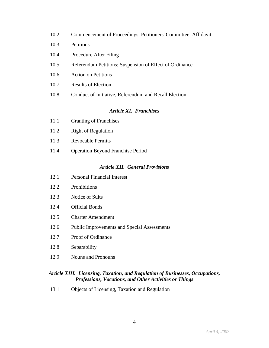- 10.2 Commencement of Proceedings, Petitioners' Committee; Affidavit
- 10.3 Petitions
- 10.4 Procedure After Filing
- 10.5 Referendum Petitions; Suspension of Effect of Ordinance
- 10.6 Action on Petitions
- 10.7 Results of Election
- 10.8 Conduct of Initiative, Referendum and Recall Election

#### *Article XI. Franchises*

- 11.1 Granting of Franchises
- 11.2 Right of Regulation
- 11.3 Revocable Permits
- 11.4 Operation Beyond Franchise Period

#### *Article XII. General Provisions*

- 12.1 Personal Financial Interest
- 12.2 Prohibitions
- 12.3 Notice of Suits
- 12.4 Official Bonds
- 12.5 Charter Amendment
- 12.6 Public Improvements and Special Assessments
- 12.7 Proof of Ordinance
- 12.8 Separability
- 12.9 Nouns and Pronouns

#### *Article XIII. Licensing, Taxation, and Regulation of Businesses, Occupations, Professions, Vocations, and Other Activities or Things*

13.1 Objects of Licensing, Taxation and Regulation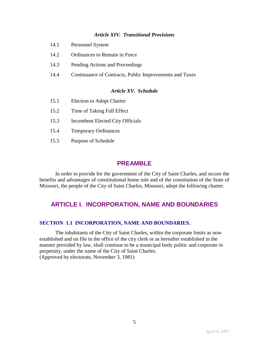#### *Article XIV. Transitional Provisions*

- 14.1 Personnel System
- 14.2 Ordinances to Remain in Force
- 14.3 Pending Actions and Proceedings
- 14.4 Continuance of Contracts, Public Improvements and Taxes

#### *Article XV. Schedule*

- 15.1 Election to Adopt Charter
- 15.2 Time of Taking Full Effect
- 15.3 Incumbent Elected City Officials
- 15.4 Temporary Ordinances
- 15.5 Purpose of Schedule

#### **PREAMBLE**

In order to provide for the government of the City of Saint Charles, and secure the benefits and advantages of constitutional home rule and of the constitution of the State of Missouri, the people of the City of Saint Charles, Missouri, adopt the following charter.

## **ARTICLE I. INCORPORATION, NAME AND BOUNDARIES**

#### **SECTION 1.1 INCORPORATION, NAME AND BOUNDARIES.**

The inhabitants of the City of Saint Charles, within the corporate limits as now established and on file in the office of the city clerk or as hereafter established in the manner provided by law, shall continue to be a municipal body politic and corporate in perpetuity, under the name of the City of Saint Charles. (Approved by electorate, November 3, 1981)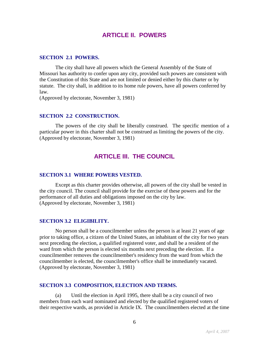## **ARTICLE II. POWERS**

#### **SECTION 2.1 POWERS.**

The city shall have all powers which the General Assembly of the State of Missouri has authority to confer upon any city, provided such powers are consistent with the Constitution of this State and are not limited or denied either by this charter or by statute. The city shall, in addition to its home rule powers, have all powers conferred by law.

(Approved by electorate, November 3, 1981)

#### **SECTION 2.2 CONSTRUCTION.**

The powers of the city shall be liberally construed. The specific mention of a particular power in this charter shall not be construed as limiting the powers of the city. (Approved by electorate, November 3, 1981)

## **ARTICLE III. THE COUNCIL**

#### **SECTION 3.1 WHERE POWERS VESTED.**

Except as this charter provides otherwise, all powers of the city shall be vested in the city council. The council shall provide for the exercise of these powers and for the performance of all duties and obligations imposed on the city by law. (Approved by electorate, November 3, 1981)

#### **SECTION 3.2 ELIGIBILITY.**

No person shall be a councilmember unless the person is at least 21 years of age prior to taking office, a citizen of the United States, an inhabitant of the city for two years next preceding the election, a qualified registered voter, and shall be a resident of the ward from which the person is elected six months next preceding the election. If a councilmember removes the councilmember's residency from the ward from which the councilmember is elected, the councilmember's office shall be immediately vacated. (Approved by electorate, November 3, 1981)

#### **SECTION 3.3 COMPOSITION, ELECTION AND TERMS.**

(a) Until the election in April 1995, there shall be a city council of two members from each ward nominated and elected by the qualified registered voters of their respective wards, as provided in Article IX. The councilmembers elected at the time

6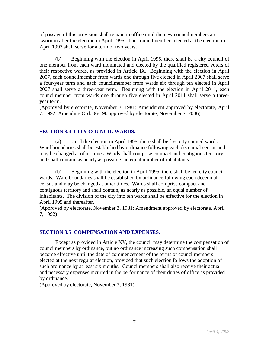of passage of this provision shall remain in office until the new councilmembers are sworn in after the election in April 1995. The councilmembers elected at the election in April 1993 shall serve for a term of two years.

(b) Beginning with the election in April 1995, there shall be a city council of one member from each ward nominated and elected by the qualified registered voters of their respective wards, as provided in Article IX. Beginning with the election in April 2007, each councilmember from wards one through five elected in April 2007 shall serve a four-year term and each councilmember from wards six through ten elected in April 2007 shall serve a three-year term. Beginning with the election in April 2011, each councilmember from wards one through five elected in April 2011 shall serve a threeyear term.

(Approved by electorate, November 3, 1981; Amendment approved by electorate, April 7, 1992; Amending Ord. 06-190 approved by electorate, November 7, 2006)

#### **SECTION 3.4 CITY COUNCIL WARDS.**

(a) Until the election in April 1995, there shall be five city council wards. Ward boundaries shall be established by ordinance following each decennial census and may be changed at other times. Wards shall comprise compact and contiguous territory and shall contain, as nearly as possible, an equal number of inhabitants.

(b) Beginning with the election in April 1995, there shall be ten city council wards. Ward boundaries shall be established by ordinance following each decennial census and may be changed at other times. Wards shall comprise compact and contiguous territory and shall contain, as nearly as possible, an equal number of inhabitants. The division of the city into ten wards shall be effective for the election in April 1995 and thereafter.

(Approved by electorate, November 3, 1981; Amendment approved by electorate, April 7, 1992)

#### **SECTION 3.5 COMPENSATION AND EXPENSES.**

Except as provided in Article XV, the council may determine the compensation of councilmembers by ordinance, but no ordinance increasing such compensation shall become effective until the date of commencement of the terms of councilmembers elected at the next regular election, provided that such election follows the adoption of such ordinance by at least six months. Councilmembers shall also receive their actual and necessary expenses incurred in the performance of their duties of office as provided by ordinance.

(Approved by electorate, November 3, 1981)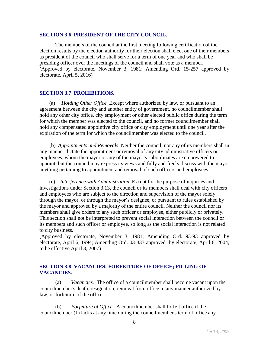#### **SECTION 3.6 PRESIDENT OF THE CITY COUNCIL.**

The members of the council at the first meeting following certification of the election results by the election authority for their election shall elect one of their members as president of the council who shall serve for a term of one year and who shall be presiding officer over the meetings of the council and shall vote as a member. (Approved by electorate, November 3, 1981; Amending Ord. 15-257 approved by electorate, April 5, 2016)

#### **SECTION 3.7 PROHIBITIONS.**

(a) *Holding Other Office.* Except where authorized by law, or pursuant to an agreement between the city and another entity of government, no councilmember shall hold any other city office, city employment or other elected public office during the term for which the member was elected to the council, and no former councilmember shall hold any compensated appointive city office or city employment until one year after the expiration of the term for which the councilmember was elected to the council.

(b) *Appointments and Removals*. Neither the council, nor any of its members shall in any manner dictate the appointment or removal of any city administrative officers or employees, whom the mayor or any of the mayor's subordinates are empowered to appoint, but the council may express its views and fully and freely discuss with the mayor anything pertaining to appointment and removal of such officers and employees.

(c) *Interference with Administration.* Except for the purpose of inquiries and investigations under Section 3.13, the council or its members shall deal with city officers and employees who are subject to the direction and supervision of the mayor solely through the mayor, or through the mayor's designee, or pursuant to rules established by the mayor and approved by a majority of the entire council. Neither the council nor its members shall give orders to any such officer or employee, either publicly or privately. This section shall not be interpreted to prevent social interaction between the council or its members and such officer or employee, so long as the social interaction is not related to city business.

(Approved by electorate, November 3, 1981; Amending Ord. 93-93 approved by electorate, April 6, 1994; Amending Ord. 03-333 approved by electorate, April 6, 2004, to be effective April 3, 2007)

#### **SECTION 3.8 VACANCIES; FORFEITURE OF OFFICE; FILLING OF VACANCIES.**

(a) *Vacancies.* The office of a councilmember shall become vacant upon the councilmember's death, resignation, removal from office in any manner authorized by law, or forfeiture of the office.

(b) *Forfeiture of Office.* A councilmember shall forfeit office if the councilmember (1) lacks at any time during the councilmember's term of office any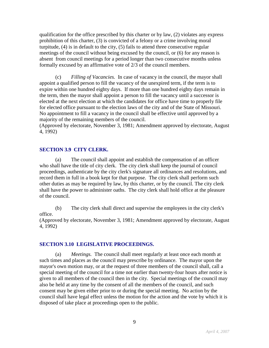qualification for the office prescribed by this charter or by law, (2) violates any express prohibition of this charter, (3) is convicted of a felony or a crime involving moral turpitude, (4) is in default to the city, (5) fails to attend three consecutive regular meetings of the council without being excused by the council, or (6) for any reason is absent from council meetings for a period longer than two consecutive months unless formally excused by an affirmative vote of 2/3 of the council members.

(c) *Filling of Vacancies.* In case of vacancy in the council, the mayor shall appoint a qualified person to fill the vacancy of the unexpired term, if the term is to expire within one hundred eighty days. If more than one hundred eighty days remain in the term, then the mayor shall appoint a person to fill the vacancy until a successor is elected at the next election at which the candidates for office have time to properly file for elected office pursuant to the election laws of the city and of the State of Missouri. No appointment to fill a vacancy in the council shall be effective until approved by a majority of the remaining members of the council.

(Approved by electorate, November 3, 1981; Amendment approved by electorate, August 4, 1992)

#### **SECTION 3.9 CITY CLERK.**

(a) The council shall appoint and establish the compensation of an officer who shall have the title of city clerk. The city clerk shall keep the journal of council proceedings, authenticate by the city clerk's signature all ordinances and resolutions, and record them in full in a book kept for that purpose. The city clerk shall perform such other duties as may be required by law, by this charter, or by the council. The city clerk shall have the power to administer oaths. The city clerk shall hold office at the pleasure of the council.

(b) The city clerk shall direct and supervise the employees in the city clerk's office.

(Approved by electorate, November 3, 1981; Amendment approved by electorate, August 4, 1992)

#### **SECTION 3.10 LEGISLATIVE PROCEEDINGS.**

(a) *Meetings.* The council shall meet regularly at least once each month at such times and places as the council may prescribe by ordinance. The mayor upon the mayor's own motion may, or at the request of three members of the council shall, call a special meeting of the council for a time not earlier than twenty-four hours after notice is given to all members of the council then in the city. Special meetings of the council may also be held at any time by the consent of all the members of the council, and such consent may be given either prior to or during the special meeting. No action by the council shall have legal effect unless the motion for the action and the vote by which it is disposed of take place at proceedings open to the public.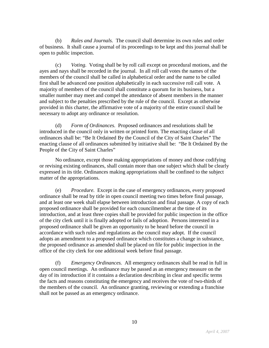(b) *Rules and Journals.* The council shall determine its own rules and order of business. It shall cause a journal of its proceedings to be kept and this journal shall be open to public inspection.

(c) *Voting.* Voting shall be by roll call except on procedural motions, and the ayes and nays shall be recorded in the journal. In all roll call votes the names of the members of the council shall be called in alphabetical order and the name to be called first shall be advanced one position alphabetically in each successive roll call vote. A majority of members of the council shall constitute a quorum for its business, but a smaller number may meet and compel the attendance of absent members in the manner and subject to the penalties prescribed by the rule of the council. Except as otherwise provided in this charter, the affirmative vote of a majority of the entire council shall be necessary to adopt any ordinance or resolution.

(d) *Form of Ordinances.* Proposed ordinances and resolutions shall be introduced in the council only in written or printed form. The enacting clause of all ordinances shall be: "Be It Ordained By the Council of the City of Saint Charles" The enacting clause of all ordinances submitted by initiative shall be: "Be It Ordained By the People of the City of Saint Charles"

No ordinance, except those making appropriations of money and those codifying or revising existing ordinances, shall contain more than one subject which shall be clearly expressed in its title. Ordinances making appropriations shall be confined to the subject matter of the appropriations.

(e) *Procedure.* Except in the case of emergency ordinances, every proposed ordinance shall be read by title in open council meeting two times before final passage, and at least one week shall elapse between introduction and final passage. A copy of each proposed ordinance shall be provided for each councilmember at the time of its introduction, and at least three copies shall be provided for public inspection in the office of the city clerk until it is finally adopted or fails of adoption. Persons interested in a proposed ordinance shall be given an opportunity to be heard before the council in accordance with such rules and regulations as the council may adopt. If the council adopts an amendment to a proposed ordinance which constitutes a change in substance, the proposed ordinance as amended shall be placed on file for public inspection in the office of the city clerk for one additional week before final passage.

(f) *Emergency Ordinances.* All emergency ordinances shall be read in full in open council meetings. An ordinance may be passed as an emergency measure on the day of its introduction if it contains a declaration describing in clear and specific terms the facts and reasons constituting the emergency and receives the vote of two-thirds of the members of the council. An ordinance granting, reviewing or extending a franchise shall not be passed as an emergency ordinance.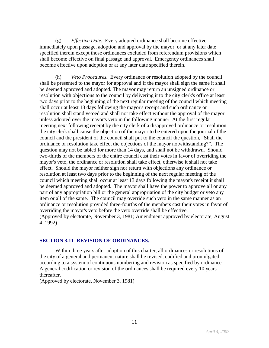(g) *Effective Date.* Every adopted ordinance shall become effective immediately upon passage, adoption and approval by the mayor, or at any later date specified therein except those ordinances excluded from referendum provisions which shall become effective on final passage and approval. Emergency ordinances shall become effective upon adoption or at any later date specified therein.

(h) *Veto Procedures.* Every ordinance or resolution adopted by the council shall be presented to the mayor for approval and if the mayor shall sign the same it shall be deemed approved and adopted. The mayor may return an unsigned ordinance or resolution with objections to the council by delivering it to the city clerk's office at least two days prior to the beginning of the next regular meeting of the council which meeting shall occur at least 13 days following the mayor's receipt and such ordinance or resolution shall stand vetoed and shall not take effect without the approval of the mayor unless adopted over the mayor's veto in the following manner: At the first regular meeting next following receipt by the city clerk of a disapproved ordinance or resolution the city clerk shall cause the objection of the mayor to be entered upon the journal of the council and the president of the council shall put to the council the question, "Shall the ordinance or resolution take effect the objections of the mayor notwithstanding?". The question may not be tabled for more than 14 days, and shall not be withdrawn. Should two-thirds of the members of the entire council cast their votes in favor of overriding the mayor's veto, the ordinance or resolution shall take effect, otherwise it shall not take effect. Should the mayor neither sign nor return with objections any ordinance or resolution at least two days prior to the beginning of the next regular meeting of the council which meeting shall occur at least 13 days following the mayor's receipt it shall be deemed approved and adopted. The mayor shall have the power to approve all or any part of any appropriation bill or the general appropriation of the city budget or veto any item or all of the same. The council may override such veto in the same manner as an ordinance or resolution provided three-fourths of the members cast their votes in favor of overriding the mayor's veto before the veto override shall be effective. (Approved by electorate, November 3, 1981; Amendment approved by electorate, August 4, 1992)

#### **SECTION 3.11 REVISION OF ORDINANCES.**

Within three years after adoption of this charter, all ordinances or resolutions of the city of a general and permanent nature shall be revised, codified and promulgated according to a system of continuous numbering and revision as specified by ordinance. A general codification or revision of the ordinances shall be required every 10 years thereafter.

(Approved by electorate, November 3, 1981)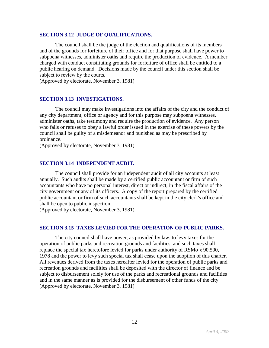#### **SECTION 3.12 JUDGE OF QUALIFICATIONS.**

The council shall be the judge of the election and qualifications of its members and of the grounds for forfeiture of their office and for that purpose shall have power to subpoena witnesses, administer oaths and require the production of evidence. A member charged with conduct constituting grounds for forfeiture of office shall be entitled to a public hearing on demand. Decisions made by the council under this section shall be subject to review by the courts.

(Approved by electorate, November 3, 1981)

#### **SECTION 3.13 INVESTIGATIONS.**

The council may make investigations into the affairs of the city and the conduct of any city department, office or agency and for this purpose may subpoena witnesses, administer oaths, take testimony and require the production of evidence. Any person who fails or refuses to obey a lawful order issued in the exercise of these powers by the council shall be guilty of a misdemeanor and punished as may be prescribed by ordinance.

(Approved by electorate, November 3, 1981)

#### **SECTION 3.14 INDEPENDENT AUDIT.**

The council shall provide for an independent audit of all city accounts at least annually. Such audits shall be made by a certified public accountant or firm of such accountants who have no personal interest, direct or indirect, in the fiscal affairs of the city government or any of its officers. A copy of the report prepared by the certified public accountant or firm of such accountants shall be kept in the city clerk's office and shall be open to public inspection.

(Approved by electorate, November 3, 1981)

#### **SECTION 3.15 TAXES LEVIED FOR THE OPERATION OF PUBLIC PARKS.**

The city council shall have power, as provided by law, to levy taxes for the operation of public parks and recreation grounds and facilities, and such taxes shall replace the special tax heretofore levied for parks under authority of RSMo § 90.500, 1978 and the power to levy such special tax shall cease upon the adoption of this charter. All revenues derived from the taxes hereafter levied for the operation of public parks and recreation grounds and facilities shall be deposited with the director of finance and be subject to disbursement solely for use of the parks and recreational grounds and facilities and in the same manner as is provided for the disbursement of other funds of the city. (Approved by electorate, November 3, 1981)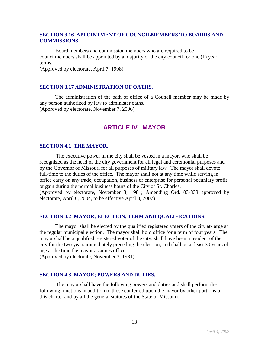#### **SECTION 3.16 APPOINTMENT OF COUNCILMEMBERS TO BOARDS AND COMMISSIONS.**

Board members and commission members who are required to be councilmembers shall be appointed by a majority of the city council for one (1) year terms.

(Approved by electorate, April 7, 1998)

#### **SECTION 3.17 ADMINISTRATION OF OATHS.**

The administration of the oath of office of a Council member may be made by any person authorized by law to administer oaths. (Approved by electorate, November 7, 2006)

## **ARTICLE IV. MAYOR**

#### **SECTION 4.1 THE MAYOR.**

The executive power in the city shall be vested in a mayor, who shall be recognized as the head of the city government for all legal and ceremonial purposes and by the Governor of Missouri for all purposes of military law. The mayor shall devote full-time to the duties of the office. The mayor shall not at any time while serving in office carry on any trade, occupation, business or enterprise for personal pecuniary profit or gain during the normal business hours of the City of St. Charles. (Approved by electorate, November 3, 1981; Amending Ord. 03-333 approved by electorate, April 6, 2004, to be effective April 3, 2007)

#### **SECTION 4.2 MAYOR; ELECTION, TERM AND QUALIFICATIONS.**

The mayor shall be elected by the qualified registered voters of the city at-large at the regular municipal election. The mayor shall hold office for a term of four years. The mayor shall be a qualified registered voter of the city, shall have been a resident of the city for the two years immediately preceding the election, and shall be at least 30 years of age at the time the mayor assumes office.

(Approved by electorate, November 3, 1981)

#### **SECTION 4.3 MAYOR; POWERS AND DUTIES.**

The mayor shall have the following powers and duties and shall perform the following functions in addition to those conferred upon the mayor by other portions of this charter and by all the general statutes of the State of Missouri: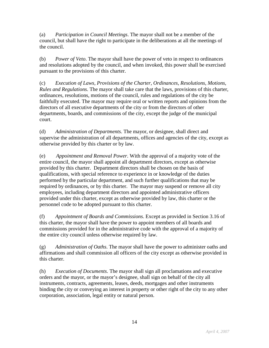(a) *Participation in Council Meetings*. The mayor shall not be a member of the council, but shall have the right to participate in the deliberations at all the meetings of the council.

(b) *Power of Veto*. The mayor shall have the power of veto in respect to ordinances and resolutions adopted by the council, and when invoked, this power shall be exercised pursuant to the provisions of this charter.

(c) *Execution of Laws, Provisions of the Charter, Ordinances, Resolutions, Motions, Rules and Regulations*. The mayor shall take care that the laws, provisions of this charter, ordinances, resolutions, motions of the council, rules and regulations of the city be faithfully executed. The mayor may require oral or written reports and opinions from the directors of all executive departments of the city or from the directors of other departments, boards, and commissions of the city, except the judge of the municipal court.

(d) *Administration of Departments*. The mayor, or designee, shall direct and supervise the administration of all departments, offices and agencies of the city, except as otherwise provided by this charter or by law.

(e) *Appointment and Removal Power*. With the approval of a majority vote of the entire council, the mayor shall appoint all department directors, except as otherwise provided by this charter. Department directors shall be chosen on the basis of qualifications, with special reference to experience in or knowledge of the duties performed by the particular department, and such further qualifications that may be required by ordinances, or by this charter.The mayor may suspend or remove all city employees, including department directors and appointed administrative officers provided under this charter, except as otherwise provided by law, this charter or the personnel code to be adopted pursuant to this charter.

(f) *Appointment of Boards and Commissions*. Except as provided in Section 3.16 of this charter, the mayor shall have the power to appoint members of all boards and commissions provided for in the administrative code with the approval of a majority of the entire city council unless otherwise required by law.

(g) *Administration of Oaths*. The mayor shall have the power to administer oaths and affirmations and shall commission all officers of the city except as otherwise provided in this charter.

(h) *Execution of Documents*. The mayor shall sign all proclamations and executive orders and the mayor, or the mayor's designee, shall sign on behalf of the city all instruments, contracts, agreements, leases, deeds, mortgages and other instruments binding the city or conveying an interest in property or other right of the city to any other corporation, association, legal entity or natural person.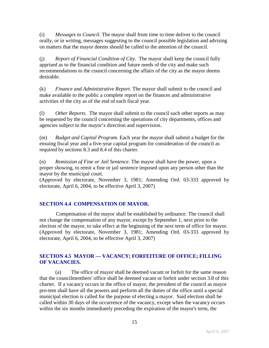(i) *Messages to Council*. The mayor shall from time to time deliver to the council orally, or in writing, messages suggesting to the council possible legislation and advising on matters that the mayor deems should be called to the attention of the council.

(j) *Report of Financial Condition of City*. The mayor shall keep the council fully apprised as to the financial condition and future needs of the city and make such recommendations to the council concerning the affairs of the city as the mayor deems desirable.

(k) *Finance and Administrative Report*. The mayor shall submit to the council and make available to the public a complete report on the finances and administrative activities of the city as of the end of each fiscal year.

(l) *Other Reports*. The mayor shall submit to the council such other reports as may be requested by the council concerning the operations of city departments, offices and agencies subject to the mayor's direction and supervision.

(m) *Budget and Capital Program*. Each year the mayor shall submit a budget for the ensuing fiscal year and a five-year capital program for consideration of the council as required by sections 8.3 and 8.4 of this charter.

(n) *Remission of Fine or Jail Sentence*. The mayor shall have the power, upon a proper showing, to remit a fine or jail sentence imposed upon any person other than the mayor by the municipal court.

(Approved by electorate, November 3, 1981; Amending Ord. 03-333 approved by electorate, April 6, 2004, to be effective April 3, 2007)

### **SECTION 4.4 COMPENSATION OF MAYOR.**

Compensation of the mayor shall be established by ordinance. The council shall not change the compensation of any mayor, except by September 1, next prior to the election of the mayor, to take effect at the beginning of the next term of office for mayor. (Approved by electorate, November 3, 1981; Amending Ord. 03-333 approved by electorate, April 6, 2004, to be effective April 3, 2007)

#### **SECTION 4.5 MAYOR — VACANCY; FORFEITURE OF OFFICE; FILLING OF VACANCIES.**

(a) The office of mayor shall be deemed vacant or forfeit for the same reason that the councilmembers' office shall be deemed vacant or forfeit under section 3.8 of this charter. If a vacancy occurs in the office of mayor, the president of the council as mayor pro-tem shall have all the powers and perform all the duties of the office until a special municipal election is called for the purpose of electing a mayor. Said election shall be called within 30 days of the occurrence of the vacancy, except when the vacancy occurs within the six months immediately preceding the expiration of the mayor's term, the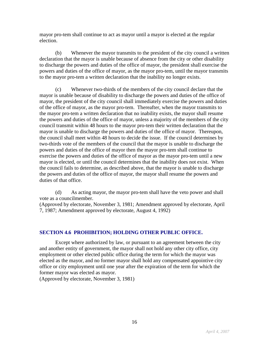mayor pro-tem shall continue to act as mayor until a mayor is elected at the regular election.

(b) Whenever the mayor transmits to the president of the city council a written declaration that the mayor is unable because of absence from the city or other disability to discharge the powers and duties of the office of mayor, the president shall exercise the powers and duties of the office of mayor, as the mayor pro-tem, until the mayor transmits to the mayor pro-tem a written declaration that the inability no longer exists.

(c) Whenever two-thirds of the members of the city council declare that the mayor is unable because of disability to discharge the powers and duties of the office of mayor, the president of the city council shall immediately exercise the powers and duties of the office of mayor, as the mayor pro-tem. Thereafter, when the mayor transmits to the mayor pro-tem a written declaration that no inability exists, the mayor shall resume the powers and duties of the office of mayor, unless a majority of the members of the city council transmit within 48 hours to the mayor pro-tem their written declaration that the mayor is unable to discharge the powers and duties of the office of mayor. Thereupon, the council shall meet within 48 hours to decide the issue. If the council determines by two-thirds vote of the members of the council that the mayor is unable to discharge the powers and duties of the office of mayor then the mayor pro-tem shall continue to exercise the powers and duties of the office of mayor as the mayor pro-tem until a new mayor is elected, or until the council determines that the inability does not exist. When the council fails to determine, as described above, that the mayor is unable to discharge the powers and duties of the office of mayor, the mayor shall resume the powers and duties of that office.

(d) As acting mayor, the mayor pro-tem shall have the veto power and shall vote as a councilmember.

(Approved by electorate, November 3, 1981; Amendment approved by electorate, April 7, 1987; Amendment approved by electorate, August 4, 1992)

#### **SECTION 4.6 PROHIBITION; HOLDING OTHER PUBLIC OFFICE.**

Except where authorized by law, or pursuant to an agreement between the city and another entity of government, the mayor shall not hold any other city office, city employment or other elected public office during the term for which the mayor was elected as the mayor, and no former mayor shall hold any compensated appointive city office or city employment until one year after the expiration of the term for which the former mayor was elected as mayor.

(Approved by electorate, November 3, 1981)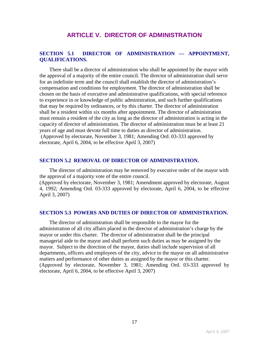### **ARTICLE V. DIRECTOR OF ADMINISTRATION**

#### **SECTION 5.1 DIRECTOR OF ADMINISTRATION — APPOINTMENT, QUALIFICATIONS.**

There shall be a director of administration who shall be appointed by the mayor with the approval of a majority of the entire council. The director of administration shall serve for an indefinite term and the council shall establish the director of administration's compensation and conditions for employment. The director of administration shall be chosen on the basis of executive and administrative qualifications, with special reference to experience in or knowledge of public administration, and such further qualifications that may be required by ordinances, or by this charter. The director of administration shall be a resident within six months after appointment. The director of administration must remain a resident of the city as long as the director of administration is acting in the capacity of director of administration. The director of administration must be at least 21 years of age and must devote full time to duties as director of administration. (Approved by electorate, November 3, 1981; Amending Ord. 03-333 approved by electorate, April 6, 2004, to be effective April 3, 2007)

#### **SECTION 5.2 REMOVAL OF DIRECTOR OF ADMINISTRATION.**

The director of administration may be removed by executive order of the mayor with the approval of a majority vote of the entire council.

(Approved by electorate, November 3, 1981; Amendment approved by electorate, August 4, 1992; Amending Ord. 03-333 approved by electorate, April 6, 2004, to be effective April 3, 2007)

#### **SECTION 5.3 POWERS AND DUTIES OF DIRECTOR OF ADMINISTRATION.**

The director of administration shall be responsible to the mayor for the administration of all city affairs placed in the director of administration's charge by the mayor or under this charter. The director of administration shall be the principal managerial aide to the mayor and shall perform such duties as may be assigned by the mayor. Subject to the direction of the mayor, duties shall include supervision of all departments, officers and employees of the city, advice to the mayor on all administrative matters and performance of other duties as assigned by the mayor or this charter. (Approved by electorate, November 3, 1981; Amending Ord. 03-333 approved by electorate, April 6, 2004, to be effective April 3, 2007)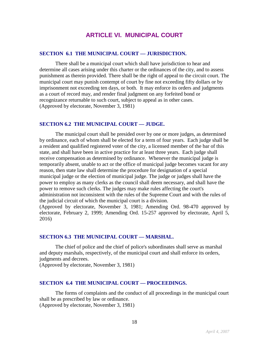## **ARTICLE VI. MUNICIPAL COURT**

#### **SECTION 6.1 THE MUNICIPAL COURT — JURISDICTION.**

There shall be a municipal court which shall have jurisdiction to hear and determine all cases arising under this charter or the ordinances of the city, and to assess punishment as therein provided. There shall be the right of appeal to the circuit court. The municipal court may punish contempt of court by fine not exceeding fifty dollars or by imprisonment not exceeding ten days, or both. It may enforce its orders and judgments as a court of record may, and render final judgment on any forfeited bond or recognizance returnable to such court, subject to appeal as in other cases. (Approved by electorate, November 3, 1981)

#### **SECTION 6.2 THE MUNICIPAL COURT — JUDGE.**

The municipal court shall be presided over by one or more judges, as determined by ordinance, each of whom shall be elected for a term of four years. Each judge shall be a resident and qualified registered voter of the city, a licensed member of the bar of this state, and shall have been in active practice for at least three years. Each judge shall receive compensation as determined by ordinance. Whenever the municipal judge is temporarily absent, unable to act or the office of municipal judge becomes vacant for any reason, then state law shall determine the procedure for designation of a special municipal judge or the election of municipal judge. The judge or judges shall have the power to employ as many clerks as the council shall deem necessary, and shall have the power to remove such clerks. The judges may make rules affecting the court's administration not inconsistent with the rules of the Supreme Court and with the rules of the judicial circuit of which the municipal court is a division.

(Approved by electorate, November 3, 1981; Amending Ord. 98-470 approved by electorate, February 2, 1999; Amending Ord. 15-257 approved by electorate, April 5, 2016)

#### **SECTION 6.3 THE MUNICIPAL COURT — MARSHAL.**

The chief of police and the chief of police's subordinates shall serve as marshal and deputy marshals, respectively, of the municipal court and shall enforce its orders, judgments and decrees.

(Approved by electorate, November 3, 1981)

#### **SECTION 6.4 THE MUNICIPAL COURT — PROCEEDINGS.**

The forms of complaints and the conduct of all proceedings in the municipal court shall be as prescribed by law or ordinance. (Approved by electorate, November 3, 1981)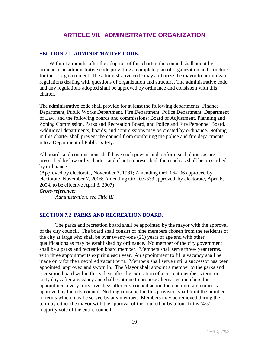## **ARTICLE VII. ADMINISTRATIVE ORGANIZATION**

#### **SECTION 7.1 ADMINISTRATIVE CODE.**

Within 12 months after the adoption of this charter, the council shall adopt by ordinance an administrative code providing a complete plan of organization and structure for the city government. The administrative code may authorize the mayor to promulgate regulations dealing with questions of organization and structure. The administrative code and any regulations adopted shall be approved by ordinance and consistent with this charter.

The administrative code shall provide for at least the following departments: Finance Department, Public Works Department, Fire Department, Police Department, Department of Law, and the following boards and commissions: Board of Adjustment, Planning and Zoning Commission, Parks and Recreation Board, and Police and Fire Personnel Board. Additional departments, boards, and commissions may be created by ordinance. Nothing in this charter shall prevent the council from combining the police and fire departments into a Department of Public Safety.

All boards and commissions shall have such powers and perform such duties as are prescribed by law or by charter, and if not so prescribed, then such as shall be prescribed by ordinance.

(Approved by electorate, November 3, 1981; Amending Ord. 06-206 approved by electorate, November 7, 2006; Amending Ord. 03-333 approved by electorate, April 6, 2004, to be effective April 3, 2007)

*Cross-reference:*

*Administration, see Title III*

#### **SECTION 7.2 PARKS AND RECREATION BOARD.**

The parks and recreation board shall be appointed by the mayor with the approval of the city council. The board shall consist of nine members chosen from the residents of the city at large who shall be over twenty-one (21) years of age and with other qualifications as may be established by ordinance. No member of the city government shall be a parks and recreation board member. Members shall serve three- year terms, with three appointments expiring each year. An appointment to fill a vacancy shall be made only for the unexpired vacant term. Members shall serve until a successor has been appointed, approved and sworn in. The Mayor shall appoint a member to the parks and recreation board within thirty days after the expiration of a current member's term or sixty days after a vacancy and shall continue to propose alternative members for appointment every forty-five days after city council action thereon until a member is approved by the city council. Nothing contained in this provision shall limit the number of terms which may be served by any member. Members may be removed during their term by either the mayor with the approval of the council or by a four-fifths (4/5) majority vote of the entire council.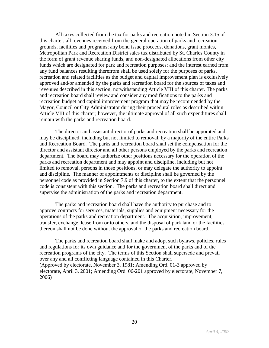All taxes collected from the tax for parks and recreation noted in Section 3.15 of this charter; all revenues received from the general operation of parks and recreation grounds, facilities and programs; any bond issue proceeds, donations, grant monies, Metropolitan Park and Recreation District sales tax distributed by St. Charles County in the form of grant revenue sharing funds, and non-designated allocations from other city funds which are designated for park and recreation purposes; and the interest earned from any fund balances resulting therefrom shall be used solely for the purposes of parks, recreation and related facilities as the budget and capital improvement plan is exclusively approved and/or amended by the parks and recreation board for the sources of taxes and revenues described in this section; notwithstanding Article VIII of this charter. The parks and recreation board shall review and consider any modifications to the parks and recreation budget and capital improvement program that may be recommended by the Mayor, Council or City Administrator during their procedural roles as described within Article VIII of this charter; however, the ultimate approval of all such expenditures shall remain with the parks and recreation board.

The director and assistant director of parks and recreation shall be appointed and may be disciplined, including but not limited to removal, by a majority of the entire Parks and Recreation Board. The parks and recreation board shall set the compensation for the director and assistant director and all other persons employed by the parks and recreation department. The board may authorize other positions necessary for the operation of the parks and recreation department and may appoint and discipline, including but not limited to removal, persons in those positions, or may delegate the authority to appoint and discipline. The manner of appointments or discipline shall be governed by the personnel code as provided in Section 7.9 of this charter, to the extent that the personnel code is consistent with this section. The parks and recreation board shall direct and supervise the administration of the parks and recreation department.

The parks and recreation board shall have the authority to purchase and to approve contracts for services, materials, supplies and equipment necessary for the operations of the parks and recreation department. The acquisition, improvement, transfer, exchange, lease from or to others, and the disposal of park land or the facilities thereon shall not be done without the approval of the parks and recreation board.

The parks and recreation board shall make and adopt such bylaws, policies, rules and regulations for its own guidance and for the government of the parks and of the recreation programs of the city. The terms of this Section shall supersede and prevail over any and all conflicting language contained in this Charter. (Approved by electorate, November 3, 1981; Amending Ord. 01-3 approved by electorate, April 3, 2001; Amending Ord. 06-201 approved by electorate, November 7, 2006)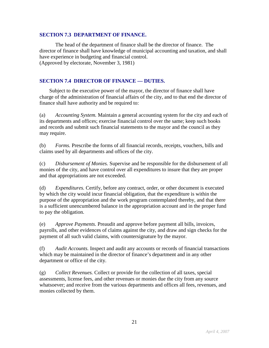#### **SECTION 7.3 DEPARTMENT OF FINANCE.**

The head of the department of finance shall be the director of finance. The director of finance shall have knowledge of municipal accounting and taxation, and shall have experience in budgeting and financial control. (Approved by electorate, November 3, 1981)

#### **SECTION 7.4 DIRECTOR OF FINANCE — DUTIES.**

Subject to the executive power of the mayor, the director of finance shall have charge of the administration of financial affairs of the city, and to that end the director of finance shall have authority and be required to:

(a) *Accounting System.* Maintain a general accounting system for the city and each of its departments and offices; exercise financial control over the same; keep such books and records and submit such financial statements to the mayor and the council as they may require.

(b) *Forms.* Prescribe the forms of all financial records, receipts, vouchers, bills and claims used by all departments and offices of the city.

(c) *Disbursement of Monies.* Supervise and be responsible for the disbursement of all monies of the city, and have control over all expenditures to insure that they are proper and that appropriations are not exceeded.

(d) *Expenditures.* Certify, before any contract, order, or other document is executed by which the city would incur financial obligation, that the expenditure is within the purpose of the appropriation and the work program contemplated thereby, and that there is a sufficient unencumbered balance in the appropriation account and in the proper fund to pay the obligation.

(e) *Approve Payments.* Preaudit and approve before payment all bills, invoices, payrolls, and other evidences of claims against the city, and draw and sign checks for the payment of all such valid claims, with countersignature by the mayor.

(f) *Audit Accounts.* Inspect and audit any accounts or records of financial transactions which may be maintained in the director of finance's department and in any other department or office of the city.

(g) *Collect Revenues.* Collect or provide for the collection of all taxes, special assessments, license fees, and other revenues or monies due the city from any source whatsoever; and receive from the various departments and offices all fees, revenues, and monies collected by them.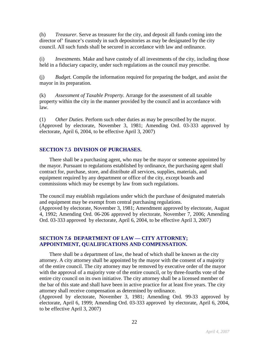(h) *Treasurer.* Serve as treasurer for the city, and deposit all funds coming into the director of' finance's custody in such depositories as may be designated by the city council. All such funds shall be secured in accordance with law and ordinance.

(i) *Investments.* Make and have custody of all investments of the city, including those held in a fiduciary capacity, under such regulations as the council may prescribe.

(j) *Budget.* Compile the information required for preparing the budget, and assist the mayor in its preparation.

(k) *Assessment of Taxable Property.* Arrange for the assessment of all taxable property within the city in the manner provided by the council and in accordance with law.

(1) *Other Duties.* Perform such other duties as may be prescribed by the mayor. (Approved by electorate, November 3, 1981; Amending Ord. 03-333 approved by electorate, April 6, 2004, to be effective April 3, 2007)

#### **SECTION 7.5 DIVISION OF PURCHASES.**

There shall be a purchasing agent, who may be the mayor or someone appointed by the mayor. Pursuant to regulations established by ordinance, the purchasing agent shall contract for, purchase, store, and distribute all services, supplies, materials, and equipment required by any department or office of the city, except boards and commissions which may be exempt by law from such regulations.

The council may establish regulations under which the purchase of designated materials and equipment may be exempt from central purchasing regulations. (Approved by electorate, November 3, 1981; Amendment approved by electorate, August 4, 1992; Amending Ord. 06-206 approved by electorate, November 7, 2006; Amending Ord. 03-333 approved by electorate, April 6, 2004, to be effective April 3, 2007)

#### **SECTION 7.6 DEPARTMENT OF LAW — CITY ATTORNEY; APPOINTMENT, QUALIFICATIONS AND COMPENSATION.**

There shall be a department of law, the head of which shall be known as the city attorney. A city attorney shall be appointed by the mayor with the consent of a majority of the entire council. The city attorney may be removed by executive order of the mayor with the approval of a majority vote of the entire council, or by three-fourths vote of the entire city council on its own initiative. The city attorney shall be a licensed member of the bar of this state and shall have been in active practice for at least five years. The city attorney shall receive compensation as determined by ordinance.

(Approved by electorate, November 3, 1981; Amending Ord. 99-33 approved by electorate, April 6, 1999; Amending Ord. 03-333 approved by electorate, April 6, 2004, to be effective April 3, 2007)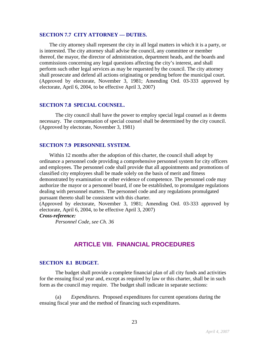#### **SECTION 7.7 CITY ATTORNEY — DUTIES.**

The city attorney shall represent the city in all legal matters in which it is a party, or is interested. The city attorney shall advise the council, any committee or member thereof, the mayor, the director of administration, department heads, and the boards and commissions concerning any legal questions affecting the city's interest, and shall perform such other legal services as may be requested by the council. The city attorney shall prosecute and defend all actions originating or pending before the municipal court. (Approved by electorate, November 3, 1981; Amending Ord. 03-333 approved by electorate, April 6, 2004, to be effective April 3, 2007)

#### **SECTION 7.8 SPECIAL COUNSEL.**

The city council shall have the power to employ special legal counsel as it deems necessary. The compensation of special counsel shall be determined by the city council. (Approved by electorate, November 3, 1981)

#### **SECTION 7.9 PERSONNEL SYSTEM.**

Within 12 months after the adoption of this charter, the council shall adopt by ordinance a personnel code providing a comprehensive personnel system for city officers and employees. The personnel code shall provide that all appointments and promotions of classified city employees shall be made solely on the basis of merit and fitness demonstrated by examination or other evidence of competence. The personnel code may authorize the mayor or a personnel board, if one be established, to promulgate regulations dealing with personnel matters. The personnel code and any regulations promulgated pursuant thereto shall be consistent with this charter.

(Approved by electorate, November 3, 1981; Amending Ord. 03-333 approved by electorate, April 6, 2004, to be effective April 3, 2007)

#### *Cross-reference:*

*Personnel Code, see Ch. 36*

## **ARTICLE VIII. FINANCIAL PROCEDURES**

#### **SECTION 8.1 BUDGET.**

The budget shall provide a complete financial plan of all city funds and activities for the ensuing fiscal year and, except as required by law or this charter, shall be in such form as the council may require. The budget shall indicate in separate sections:

(a) *Expenditures.* Proposed expenditures for current operations during the ensuing fiscal year and the method of financing such expenditures.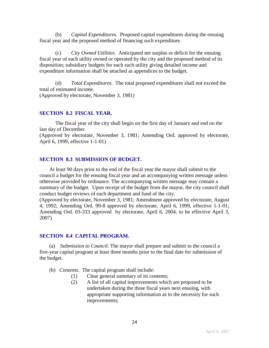(b) *Capital Expenditures.* Proposed capital expenditures during the ensuing fiscal year and the proposed method of financing such expenditure.

(c) *City Owned Utilities.* Anticipated net surplus or deficit for the ensuing fiscal year of each utility owned or operated by the city and the proposed method of its disposition; subsidiary budgets for each such utility giving detailed income and expenditure information shall be attached as appendices to the budget.

(d) *Total Expenditures.* The total proposed expenditures shall not exceed the total of estimated income. (Approved by electorate, November 3, 1981)

#### **SECTION 8.2 FISCAL YEAR.**

The fiscal year of the city shall begin on the first day of January and end on the last day of December.

(Approved by electorate, November 3, 1981; Amending Ord. approved by electorate, April 6, 1999, effective 1-1-01)

#### **SECTION 8.3 SUBMISSION OF BUDGET.**

At least 90 days prior to the end of the fiscal year the mayor shall submit to the council a budget for the ensuing fiscal year and an accompanying written message unless otherwise provided by ordinance. The accompanying written message may contain a summary of the budget. Upon receipt of the budget from the mayor, the city council shall conduct budget reviews of each department and fund of the city.

(Approved by electorate, November 3, 1981; Amendment approved by electorate, August 4, 1992; Amending Ord. 99-8 approved by electorate, April 6, 1999, effective 1-1-01; Amending Ord. 03-333 approved by electorate, April 6, 2004, to be effective April 3, 2007)

#### **SECTION 8.4 CAPITAL PROGRAM.**

(a) *Submission to Council.* The mayor shall prepare and submit to the council a five-year capital program at least three months prior to the final date for submission of the budget.

- (b) *Contents.* The capital program shall include:
	- (1) Clear general summary of its contents;
	- (2) A list of all capital improvements which are proposed to be undertaken during the three fiscal years next ensuing, with appropriate supporting information as to the necessity for such improvements;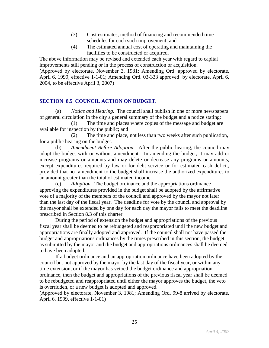- (3) Cost estimates, method of financing and recommended time schedules for each such improvement; and
- (4) The estimated annual cost of operating and maintaining the facilities to be constructed or acquired.

The above information may be revised and extended each year with regard to capital improvements still pending or in the process of construction or acquisition. (Approved by electorate, November 3, 1981; Amending Ord. approved by electorate, April 6, 1999, effective 1-1-01; Amending Ord. 03-333 approved by electorate, April 6, 2004, to be effective April 3, 2007)

#### **SECTION 8.5 COUNCIL ACTION ON BUDGET.**

(a) *Notice and Hearing.* The council shall publish in one or more newspapers of general circulation in the city a general summary of the budget and a notice stating:

(1) The time and places where copies of the message and budget are available for inspection by the public; and

(2) The time and place, not less than two weeks after such publication, for a public hearing on the budget.

(b) *Amendment Before Adoption.* After the public hearing, the council may adopt the budget with or without amendment. In amending the budget, it may add or increase programs or amounts and may delete or decrease any programs or amounts, except expenditures required by law or for debt service or for estimated cash deficit, provided that no amendment to the budget shall increase the authorized expenditures to an amount greater than the total of estimated income.

(c) *Adoption.* The budget ordinance and the appropriations ordinance approving the expenditures provided in the budget shall be adopted by the affirmative vote of a majority of the members of the council and approved by the mayor not later than the last day of the fiscal year. The deadline for vote by the council and approval by the mayor shall be extended by one day for each day the mayor fails to meet the deadline prescribed in Section 8.3 of this charter.

During the period of extension the budget and appropriations of the previous fiscal year shall be deemed to be rebudgeted and reappropriated until the new budget and appropriations are finally adopted and approved. If the council shall not have passed the budget and appropriations ordinances by the times prescribed in this section, the budget as submitted by the mayor and the budget and appropriations ordinances shall be deemed to have been adopted.

If a budget ordinance and an appropriation ordinance have been adopted by the council but not approved by the mayor by the last day of the fiscal year, or within any time extension, or if the mayor has vetoed the budget ordinance and appropriation ordinance, then the budget and appropriations of the previous fiscal year shall be deemed to be rebudgeted and reappropriated until either the mayor approves the budget, the veto is overridden, or a new budget is adopted and approved.

(Approved by electorate, November 3, 1981; Amending Ord. 99-8 arrived by electorate, April 6, 1999, effective 1-1-01)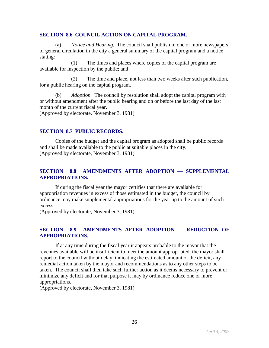#### **SECTION 8.6 COUNCIL ACTION ON CAPITAL PROGRAM.**

(a) *Notice and Hearing.* The council shall publish in one or more newspapers of general circulation in the city a general summary of the capital program and a notice stating:

(1) The times and places where copies of the capital program are available for inspection by the public; and

(2) The time and place, not less than two weeks after such publication, for a public hearing on the capital program.

(b) *Adoption.* The council by resolution shall adopt the capital program with or without amendment after the public hearing and on or before the last day of the last month of the current fiscal year.

(Approved by electorate, November 3, 1981)

#### **SECTION 8.7 PUBLIC RECORDS.**

Copies of the budget and the capital program as adopted shall be public records and shall be made available to the public at suitable places in the city. (Approved by electorate, November 3, 1981)

#### **SECTION 8.8 AMENDMENTS AFTER ADOPTION — SUPPLEMENTAL APPROPRIATIONS.**

If during the fiscal year the mayor certifies that there are available for appropriation revenues in excess of those estimated in the budget, the council by ordinance may make supplemental appropriations for the year up to the amount of such excess.

(Approved by electorate, November 3, 1981)

#### **SECTION 8.9 AMENDMENTS AFTER ADOPTION — REDUCTION OF APPROPRIATIONS.**

If at any time during the fiscal year it appears probable to the mayor that the revenues available will be insufficient to meet the amount appropriated, the mayor shall report to the council without delay, indicating the estimated amount of the deficit, any remedial action taken by the mayor and recommendations as to any other steps to be taken. The council shall then take such further action as it deems necessary to prevent or minimize any deficit and for that purpose it may by ordinance reduce one or more appropriations.

(Approved by electorate, November 3, 1981)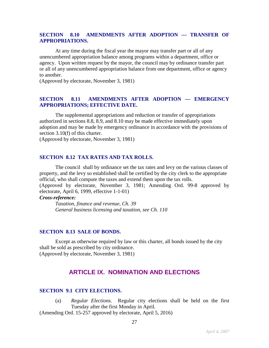#### **SECTION 8.10 AMENDMENTS AFTER ADOPTION — TRANSFER OF APPROPRIATIONS.**

At any time during the fiscal year the mayor may transfer part or all of any unencumbered appropriation balance among programs within a department, office or agency. Upon written request by the mayor, the council may by ordinance transfer part or all of any unencumbered appropriation balance from one department, office or agency to another.

(Approved by electorate, November 3, 1981)

#### **SECTION 8.11 AMENDMENTS AFTER ADOPTION — EMERGENCY APPROPRIATIONS; EFFECTIVE DATE.**

The supplemental appropriations and reduction or transfer of appropriations authorized in sections 8.8, 8.9, and 8.10 may be made effective immediately upon adoption and may be made by emergency ordinance in accordance with the provisions of section 3.10(f) of this charter.

(Approved by electorate, November 3, 1981)

#### **SECTION 8.12 TAX RATES AND TAX ROLLS.**

The council shall by ordinance set the tax rates and levy on the various classes of property, and the levy so established shall be certified by the city clerk to the appropriate official, who shall compute the taxes and extend them upon the tax rolls.

(Approved by electorate, November 3, 1981; Amending Ord. 99-8 approved by electorate, April 6, 1999, effective 1-1-01)

#### *Cross-reference:*

*Taxation, finance and revenue, Ch. 39 General business licensing and taxation, see Ch. 110*

#### **SECTION 8.13 SALE OF BONDS.**

Except as otherwise required by law or this charter, all bonds issued by the city shall be sold as prescribed by city ordinance. (Approved by electorate, November 3, 1981)

## **ARTICLE IX. NOMINATION AND ELECTIONS**

#### **SECTION 9.1 CITY ELECTIONS.**

(a) *Regular Elections.* Regular city elections shall be held on the first Tuesday after the first Monday in April.

(Amending Ord. 15-257 approved by electorate, April 5, 2016)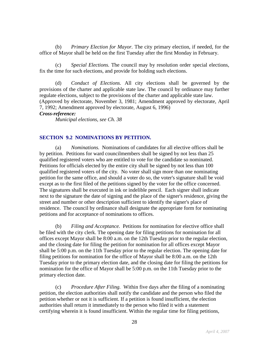(b) *Primary Election for Mayor.* The city primary election, if needed, for the office of Mayor shall be held on the first Tuesday after the first Monday in February.

(c) *Special Elections.* The council may by resolution order special elections, fix the time for such elections, and provide for holding such elections.

(d) *Conduct of Elections.* All city elections shall be governed by the provisions of the charter and applicable state law. The council by ordinance may further regulate elections, subject to the provisions of the charter and applicable state law. (Approved by electorate, November 3, 1981; Amendment approved by electorate, April 7, 1992; Amendment approved by electorate, August 6, 1996)

#### *Cross-reference:*

*Municipal elections, see Ch. 38*

#### **SECTION 9.2 NOMINATIONS BY PETITION.**

(a) *Nominations.* Nominations of candidates for all elective offices shall be by petition. Petitions for ward councilmembers shall be signed by not less than 25 qualified registered voters who are entitled to vote for the candidate so nominated. Petitions for officials elected by the entire city shall be signed by not less than 100 qualified registered voters of the city. No voter shall sign more than one nominating petition for the same office, and should a voter do so, the voter's signature shall be void except as to the first filed of the petitions signed by the voter for the office concerned. The signatures shall be executed in ink or indelible pencil. Each signer shall indicate next to the signature the date of signing and the place of the signer's residence, giving the street and number or other description sufficient to identify the signer's place of residence. The council by ordinance shall designate the appropriate form for nominating petitions and for acceptance of nominations to offices.

(b) *Filing and Acceptance.* Petitions for nomination for elective office shall be filed with the city clerk. The opening date for filing petitions for nomination for all offices except Mayor shall be 8:00 a.m. on the 12th Tuesday prior to the regular election, and the closing date for filing the petition for nomination for all offices except Mayor shall be 5:00 p.m. on the 11th Tuesday prior to the regular election. The opening date for filing petitions for nomination for the office of Mayor shall be 8:00 a.m. on the 12th Tuesday prior to the primary election date, and the closing date for filing the petitions for nomination for the office of Mayor shall be 5:00 p.m. on the 11th Tuesday prior to the primary election date.

(c) *Procedure After Filing.* Within five days after the filing of a nominating petition, the election authorities shall notify the candidate and the person who filed the petition whether or not it is sufficient. If a petition is found insufficient, the election authorities shall return it immediately to the person who filed it with a statement certifying wherein it is found insufficient. Within the regular time for filing petitions,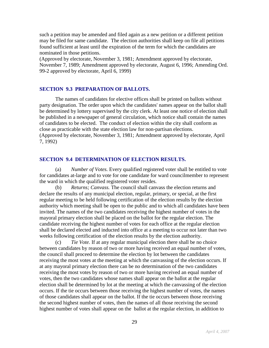such a petition may be amended and filed again as a new petition or a different petition may be filed for same candidate. The election authorities shall keep on file all petitions found sufficient at least until the expiration of the term for which the candidates are nominated in those petitions.

(Approved by electorate, November 3, 1981; Amendment approved by electorate, November 7, 1989; Amendment approved by electorate, August 6, 1996; Amending Ord. 99-2 approved by electorate, April 6, 1999)

#### **SECTION 9.3 PREPARATION OF BALLOTS.**

The names of candidates for elective offices shall be printed on ballots without party designation. The order upon which the candidates' names appear on the ballot shall be determined by lottery supervised by the city clerk. At least one notice of election shall be published in a newspaper of general circulation, which notice shall contain the names of candidates to be elected. The conduct of election within the city shall conform as close as practicable with the state election law for non-partisan elections. (Approved by electorate, November 3, 1981; Amendment approved by electorate, April 7, 1992)

#### **SECTION 9.4 DETERMINATION OF ELECTION RESULTS.**

(a) *Number of Votes.* Every qualified registered voter shall be entitled to vote for candidates at-large and to vote for one candidate for ward councilmember to represent the ward in which the qualified registered voter resides.

(b) *Returns; Canvass.* The council shall canvass the election returns and declare the results of any municipal election, regular, primary, or special, at the first regular meeting to be held following certification of the election results by the election authority which meeting shall be open to the public and to which all candidates have been invited. The names of the two candidates receiving the highest number of votes in the mayoral primary election shall be placed on the ballot for the regular election. The candidate receiving the highest number of votes for each office at the regular election shall be declared elected and inducted into office at a meeting to occur not later than two weeks following certification of the election results by the election authority.

(c) *Tie Vote.* If at any regular municipal election there shall be no choice between candidates by reason of two or more having received an equal number of votes, the council shall proceed to determine the election by lot between the candidates receiving the most votes at the meeting at which the canvassing of the election occurs. If at any mayoral primary election there can be no determination of the two candidates receiving the most votes by reason of two or more having received an equal number of votes, then the two candidates whose names shall appear on the ballot at the regular election shall be determined by lot at the meeting at which the canvassing of the election occurs. If the tie occurs between those receiving the highest number of votes, the names of those candidates shall appear on the ballot. If the tie occurs between those receiving the second highest number of votes, then the names of all those receiving the second highest number of votes shall appear on the ballot at the regular election, in addition to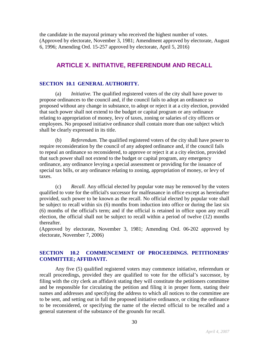the candidate in the mayoral primary who received the highest number of votes. (Approved by electorate, November 3, 1981; Amendment approved by electorate, August 6, 1996; Amending Ord. 15-257 approved by electorate, April 5, 2016)

## **ARTICLE X. INITIATIVE, REFERENDUM AND RECALL**

#### **SECTION 10.1 GENERAL AUTHORITY.**

(a) *Initiative.* The qualified registered voters of the city shall have power to propose ordinances to the council and, if the council fails to adopt an ordinance so proposed without any change in substance, to adopt or reject it at a city election, provided that such power shall not extend to the budget or capital program or any ordinance relating to appropriation of money, levy of taxes, zoning or salaries of city officers or employees. No proposed initiative ordinance shall contain more than one subject which shall be clearly expressed in its title.

(b) *Referendum.* The qualified registered voters of the city shall have power to require reconsideration by the council of any adopted ordinance and, if the council fails to repeal an ordinance so reconsidered, to approve or reject it at a city election, provided that such power shall not extend to the budget or capital program, any emergency ordinance, any ordinance levying a special assessment or providing for the issuance of special tax bills, or any ordinance relating to zoning, appropriation of money, or levy of taxes.

(c) *Recall.* Any official elected by popular vote may be removed by the voters qualified to vote for the official's successor for malfeasance in office except as hereinafter provided, such power to be known as the recall. No official elected by popular vote shall be subject to recall within six (6) months from induction into office or during the last six (6) months of the official's term; and if the official is retained in office upon any recall election, the official shall not be subject to recall within a period of twelve (12) months thereafter.

(Approved by electorate, November 3, 1981; Amending Ord. 06-202 approved by electorate, November 7, 2006)

#### **SECTION 10.2 COMMENCEMENT OF PROCEEDINGS. PETITIONERS' COMMITTEE; AFFIDAVIT.**

Any five (5) qualified registered voters may commence initiative, referendum or recall proceedings, provided they are qualified to vote for the official's successor, by filing with the city clerk an affidavit stating they will constitute the petitioners committee and be responsible for circulating the petition and filing it in proper form, stating their names and addresses and specifying the address to which all notices to the committee are to be sent, and setting out in full the proposed initiative ordinance, or citing the ordinance to be reconsidered, or specifying the name of the elected official to be recalled and a general statement of the substance of the grounds for recall.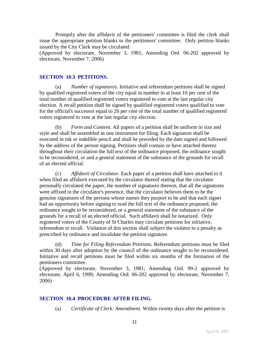Promptly after the affidavit of the petitioners' committee is filed the clerk shall issue the appropriate petition blanks to the petitioners' committee. Only petition blanks issued by the City Clerk may be circulated.

(Approved by electorate, November 3, 1981; Amending Ord. 06-202 approved by electorate, November 7, 2006)

#### **SECTION 10.3 PETITIONS.**

(a) *Number of signatures.* Initiative and referendum petitions shall be signed by qualified registered voters of the city equal in number to at least 10 per cent of the total number of qualified registered voters registered to vote at the last regular city election. A recall petition shall be signed by qualified registered voters qualified to vote for the official's successor equal to 20 per cent of the total number of qualified registered voters registered to vote at the last regular city election.

(b) *Form and Content.* All papers of a petition shall be uniform in size and style and shall be assembled as one instrument for filing. Each signature shall be executed in ink or indelible pencil and shall be preceded by the date signed and followed by the address of the person signing. Petitions shall contain or have attached thereto throughout their circulation the full text of the ordinance proposed, the ordinance sought to be reconsidered, or and a general statement of the substance of the grounds for recall of an elected official.

(c) *Affidavit of Circulator.* Each paper of a petition shall have attached to it when filed an affidavit executed by the circulator thereof stating that the circulator personally circulated the paper, the number of signatures thereon, that all the signatures were affixed in the circulator's presence, that the circulator believes them to be the genuine signatures of the persons whose names they purport to be and that each signer had an opportunity before signing to read the full text of the ordinance proposed, the ordinance sought to be reconsidered, or a general statement of the substance of the grounds for a recall of an elected official. Such affidavit shall be notarized. Only registered voters of the County of St Charles may circulate petitions for initiative, referendum or recall. Violation of this section shall subject the violator to a penalty as prescribed by ordinance and invalidate the petition signature.

(d) *Time for Filing Referendum Petitions.* Referendum petitions must be filed within 30 days after adoption by the council of the ordinance sought to be reconsidered. Initiative and recall petitions must be filed within six months of the formation of the petitioners committee.

(Approved by electorate, November 3, 1981; Amending Ord. 99-2 approved by electorate, April 6, 1999; Amending Ord. 06-202 approved by electorate, November 7, 2006)

#### **SECTION 10.4 PROCEDURE AFTER FILING.**

(a) *Certificate of Clerk: Amendment.* Within twenty days after the petition is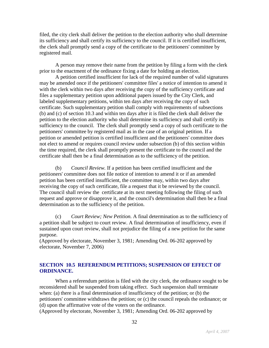filed, the city clerk shall deliver the petition to the election authority who shall determine its sufficiency and shall certify its sufficiency to the council. If it is certified insufficient, the clerk shall promptly send a copy of the certificate to the petitioners' committee by registered mail.

A person may remove their name from the petition by filing a form with the clerk prior to the enactment of the ordinance fixing a date for holding an election.

A petition certified insufficient for lack of the required number of valid signatures may be amended once if the petitioners' committee files' a notice of intention to amend it with the clerk within two days after receiving the copy of the sufficiency certificate and files a supplementary petition upon additional papers issued by the City Clerk, and labeled supplementary petitions, within ten days after receiving the copy of such certificate. Such supplementary petition shall comply with requirements of subsections (b) and (c) of section 10.3 and within ten days after it is filed the clerk shall deliver the petition to the election authority who shall determine its sufficiency and shall certify its sufficiency to the council. The clerk shall promptly send a copy of such certificate to the petitioners' committee by registered mail as in the case of an original petition. If a petition or amended petition is certified insufficient and the petitioners' committee does not elect to amend or requires council review under subsection (b) of this section within the time required, the clerk shall promptly present the certificate to the council and the certificate shall then be a final determination as to the sufficiency of the petition.

(b) *Council Review.* If a petition has been certified insufficient and the petitioners' committee does not file notice of intention to amend it or if an amended petition has been certified insufficient, the committee may, within two days after receiving the copy of such certificate, file a request that it be reviewed by the council. The council shall review the certificate at its next meeting following the filing of such request and approve or disapprove it, and the council's determination shall then be a final determination as to the sufficiency of the petition.

(c) *Court Review; New Petition.* A final determination as to the sufficiency of a petition shall be subject to court review. A final determination of insufficiency, even if sustained upon court review, shall not prejudice the filing of a new petition for the same purpose.

(Approved by electorate, November 3, 1981; Amending Ord. 06-202 approved by electorate, November 7, 2006)

#### **SECTION 10.5 REFERENDUM PETITIONS; SUSPENSION OF EFFECT OF ORDINANCE.**

When a referendum petition is filed with the city clerk, the ordinance sought to be reconsidered shall be suspended from taking effect. Such suspension shall terminate when: (a) there is a final determination of insufficiency of the petition; or (b) the petitioners' committee withdraws the petition; or (c) the council repeals the ordinance; or (d) upon the affirmative vote of the voters on the ordinance.

(Approved by electorate, November 3, 1981; Amending Ord. 06-202 approved by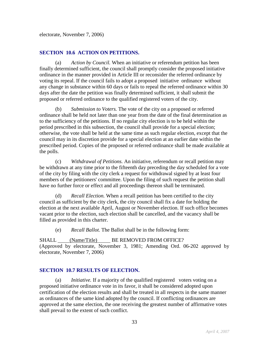electorate, November 7, 2006)

#### **SECTION 10.6 ACTION ON PETITIONS.**

(a) *Action by Council.* When an initiative or referendum petition has been finally determined sufficient, the council shall promptly consider the proposed initiative ordinance in the manner provided in Article III or reconsider the referred ordinance by voting its repeal. If the council fails to adopt a proposed initiative ordinance without any change in substance within 60 days or fails to repeal the referred ordinance within 30 days after the date the petition was finally determined sufficient, it shall submit the proposed or referred ordinance to the qualified registered voters of the city.

(b) *Submission to Voters.* The vote of the city on a proposed or referred ordinance shall be held not later than one year from the date of the final determination as to the sufficiency of the petitions. If no regular city election is to be held within the period prescribed in this subsection, the council shall provide for a special election; otherwise, the vote shall be held at the same time as such regular election, except that the council may in its discretion provide for a special election at an earlier date within the prescribed period. Copies of the proposed or referred ordinance shall be made available at the polls.

(c) *Withdrawal of Petitions.* An initiative, referendum or recall petition may be withdrawn at any time prior to the fifteenth day preceding the day scheduled for a vote of the city by filing with the city clerk a request for withdrawal signed by at least four members of the petitioners' committee. Upon the filing of such request the petition shall have no further force or effect and all proceedings thereon shall be terminated.

(d) *Recall Election.* When a recall petition has been certified to the city council as sufficient by the city clerk, the city council shall fix a date for holding the election at the next available April, August or November election. If such office becomes vacant prior to the election, such election shall be cancelled, and the vacancy shall be filled as provided in this charter.

(e) *Recall Ballot.* The Ballot shall be in the following form:

SHALL (Name/Title) BE REMOVED FROM OFFICE? (Approved by electorate, November 3, 1981; Amending Ord. 06-202 approved by electorate, November 7, 2006)

#### **SECTION 10.7 RESULTS OF ELECTION.**

(a) *Initiative.* If a majority of the qualified registered voters voting on a proposed initiative ordinance vote in its favor, it shall be considered adopted upon certification of the election results and shall be treated in all respects in the same manner as ordinances of the same kind adopted by the council. If conflicting ordinances are approved at the same election, the one receiving the greatest number of affirmative votes shall prevail to the extent of such conflict.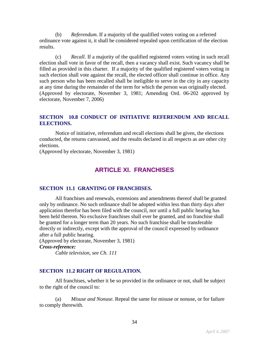(b) *Referendum.* If a majority of the qualified voters voting on a referred ordinance vote against it, it shall be considered repealed upon certification of the election results.

(c) *Recall.* If a majority of the qualified registered voters voting in such recall election shall vote in favor of the recall, then a vacancy shall exist. Such vacancy shall be filled as provided in this charter. If a majority of the qualified registered voters voting in such election shall vote against the recall, the elected officer shall continue in office. Any such person who has been recalled shall be ineligible to serve in the city in any capacity at any time during the remainder of the term for which the person was originally elected. (Approved by electorate, November 3, 1981; Amending Ord. 06-202 approved by electorate, November 7, 2006)

#### **SECTION 10.8 CONDUCT OF INITIATIVE REFERENDUM AND RECALL ELECTIONS.**

Notice of initiative, referendum and recall elections shall be given, the elections conducted, the returns canvassed, and the results declared in all respects as are other city elections.

(Approved by electorate, November 3, 1981)

## **ARTICLE XI. FRANCHISES**

#### **SECTION 11.1 GRANTING OF FRANCHISES.**

All franchises and renewals, extensions and amendments thereof shall be granted only by ordinance. No such ordinance shall be adopted within less than thirty days after application therefor has been filed with the council, nor until a full public hearing has been held thereon. No exclusive franchises shall ever be granted, and no franchise shall be granted for a longer term than 20 years. No such franchise shall be transferable directly or indirectly, except with the approval of the council expressed by ordinance after a full public hearing.

(Approved by electorate, November 3, 1981) *Cross-reference: Cable television, see Ch. 111*

## **SECTION 11.2 RIGHT OF REGULATION.**

All franchises, whether it be so provided in the ordinance or not, shall be subject to the right of the council to:

(a) *Misuse and Nonuse.* Repeal the same for misuse or nonuse, or for failure to comply therewith.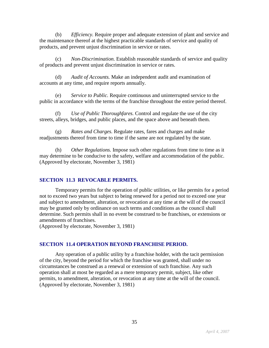(b) *Efficiency.* Require proper and adequate extension of plant and service and the maintenance thereof at the highest practicable standards of service and quality of products, and prevent unjust discrimination in service or rates.

(c) *Non-Discrimination.* Establish reasonable standards of service and quality of products and prevent unjust discrimination in service or rates.

(d) *Audit of Accounts.* Make an independent audit and examination of accounts at any time, and require reports annually.

(e) *Service to Public.* Require continuous and uninterrupted service to the public in accordance with the terms of the franchise throughout the entire period thereof.

(f) *Use of Public Thoroughfares.* Control and regulate the use of the city streets, alleys, bridges, and public places, and the space above and beneath them.

(g) *Rates and Charges.* Regulate rates, fares and charges and make readjustments thereof from time to time if the same are not regulated by the state.

(h) *Other Regulations.* Impose such other regulations from time to time as it may determine to be conducive to the safety, welfare and accommodation of the public. (Approved by electorate, November 3, 1981)

#### **SECTION 11.3 REVOCABLE PERMITS.**

Temporary permits for the operation of public utilities, or like permits for a period not to exceed two years but subject to being renewed for a period not to exceed one year and subject to amendment, alteration, or revocation at any time at the will of the council may be granted only by ordinance on such terms and conditions as the council shall determine. Such permits shall in no event be construed to be franchises, or extensions or amendments of franchises.

(Approved by electorate, November 3, 1981)

#### **SECTION 11.4 OPERATION BEYOND FRANCHISE PERIOD.**

Any operation of a public utility by a franchise holder, with the tacit permission of the city, beyond the period for which the franchise was granted, shall under no circumstances be construed as a renewal or extension of such franchise. Any such operation shall at most be regarded as a mere temporary permit, subject, like other permits, to amendment, alteration, or revocation at any time at the will of the council. (Approved by electorate, November 3, 1981)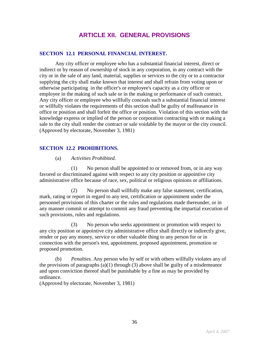## **ARTICLE XII. GENERAL PROVISIONS**

#### **SECTION 12.1 PERSONAL FINANCIAL INTEREST.**

Any city officer or employee who has a substantial financial interest, direct or indirect or by reason of ownership of stock in any corporation, in any contract with the city or in the sale of any land, material, supplies or services to the city or to a contractor supplying the city shall make known that interest and shall refrain from voting upon or otherwise participating in the officer's or employee's capacity as a city officer or employee in the making of such sale or in the making or performance of such contract. Any city officer or employee who willfully conceals such a substantial financial interest or willfully violates the requirements of this section shall be guilty of malfeasance in office or position and shall forfeit the office or position. Violation of this section with the knowledge express or implied of the person or corporation contracting with or making a sale to the city shall render the contract or sale voidable by the mayor or the city council. (Approved by electorate, November 3, 1981)

#### **SECTION 12.2 PROHIBITIONS.**

#### (a) *Activities Prohibited.*

(1) No person shall be appointed to or removed from, or in any way favored or discriminated against with respect to any city position or appointive city administrative office because of race, sex, political or religious opinions or affiliations.

(2) No person shall willfully make any false statement, certification, mark, rating or report in regard to any test, certification or appointment under the personnel provisions of this charter or the rules and regulations made thereunder, or in any manner commit or attempt to commit any fraud preventing the impartial execution of such provisions, rules and regulations.

(3) No person who seeks appointment or promotion with respect to any city position or appointive city administrative office shall directly or indirectly give, render or pay any money, service or other valuable thing to any person for or in connection with the person's test, appointment, proposed appointment, promotion or proposed promotion.

(b) *Penalties.* Any person who by self or with others willfully violates any of the provisions of paragraphs  $(a)(1)$  through  $(3)$  above shall be guilty of a misdemeanor and upon conviction thereof shall be punishable by a fine as may be provided by ordinance.

(Approved by electorate, November 3, 1981)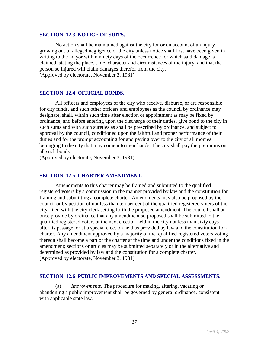#### **SECTION 12.3 NOTICE OF SUITS.**

No action shall be maintained against the city for or on account of an injury growing out of alleged negligence of the city unless notice shall first have been given in writing to the mayor within ninety days of the occurrence for which said damage is claimed, stating the place, time, character and circumstances of the injury, and that the person so injured will claim damages therefor from the city. (Approved by electorate, November 3, 1981)

#### **SECTION 12.4 OFFICIAL BONDS.**

All officers and employees of the city who receive, disburse, or are responsible for city funds, and such other officers and employees as the council by ordinance may designate, shall, within such time after election or appointment as may be fixed by ordinance, and before entering upon the discharge of their duties, give bond to the city in such sums and with such sureties as shall be prescribed by ordinance, and subject to approval by the council, conditioned upon the faithful and proper performance of their duties and for the prompt accounting for and paying over to the city of all monies belonging to the city that may come into their hands. The city shall pay the premiums on all such bonds.

(Approved by electorate, November 3, 1981)

#### **SECTION 12.5 CHARTER AMENDMENT.**

Amendments to this charter may be framed and submitted to the qualified registered voters by a commission in the manner provided by law and the constitution for framing and submitting a complete charter. Amendments may also be proposed by the council or by petition of not less than ten per cent of the qualified registered voters of the city, filed with the city clerk setting forth the proposed amendment. The council shall at once provide by ordinance that any amendment so proposed shall be submitted to the qualified registered voters at the next election held in the city not less than sixty days after its passage, or at a special election held as provided by law and the constitution for a charter. Any amendment approved by a majority of the qualified registered voters voting thereon shall become a part of the charter at the time and under the conditions fixed in the amendment; sections or articles may be submitted separately or in the alternative and determined as provided by law and the constitution for a complete charter. (Approved by electorate, November 3, 1981)

#### **SECTION 12.6 PUBLIC IMPROVEMENTS AND SPECIAL ASSESSMENTS.**

(a) *Improvements.* The procedure for making, altering, vacating or abandoning a public improvement shall be governed by general ordinance, consistent with applicable state law.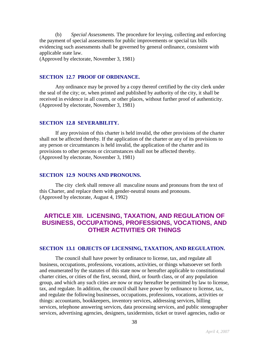(b) *Special Assessments.* The procedure for levying, collecting and enforcing the payment of special assessments for public improvements or special tax bills evidencing such assessments shall be governed by general ordinance, consistent with applicable state law.

(Approved by electorate, November 3, 1981)

#### **SECTION 12.7 PROOF OF ORDINANCE.**

Any ordinance may be proved by a copy thereof certified by the city clerk under the seal of the city; or, when printed and published by authority of the city, it shall be received in evidence in all courts, or other places, without further proof of authenticity. (Approved by electorate, November 3, 1981)

#### **SECTION 12.8 SEVERABILITY.**

If any provision of this charter is held invalid, the other provisions of the charter shall not be affected thereby. If the application of the charter or any of its provisions to any person or circumstances is held invalid, the application of the charter and its provisions to other persons or circumstances shall not be affected thereby. (Approved by electorate, November 3, 1981)

#### **SECTION 12.9 NOUNS AND PRONOUNS.**

The city clerk shall remove all masculine nouns and pronouns from the text of this Charter, and replace them with gender-neutral nouns and pronouns. (Approved by electorate, August 4, 1992)

## **ARTICLE XIII. LICENSING, TAXATION, AND REGULATION OF BUSINESS, OCCUPATIONS, PROFESSIONS, VOCATIONS, AND OTHER ACTIVITIES OR THINGS**

#### **SECTION 13.1 OBJECTS OF LICENSING, TAXATION, AND REGULATION.**

The council shall have power by ordinance to license, tax, and regulate all business, occupations, professions, vocations, activities, or things whatsoever set forth and enumerated by the statutes of this state now or hereafter applicable to constitutional charter cities, or cities of the first, second, third, or fourth class, or of any population group, and which any such cities are now or may hereafter be permitted by law to license, tax, and regulate. In addition, the council shall have power by ordinance to license, tax, and regulate the following businesses, occupations, professions, vocations, activities or things: accountants, bookkeepers, inventory services, addressing services, billing services, telephone answering services, data processing services, and public stenographer services, advertising agencies, designers, taxidermists, ticket or travel agencies, radio or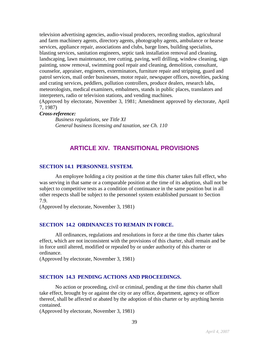television advertising agencies, audio-visual producers, recording studios, agricultural and farm machinery agents, directory agents, photography agents, ambulance or hearse services, appliance repair, associations and clubs, barge lines, building specialists, blasting services, sanitation engineers, septic tank installation removal and cleaning, landscaping, lawn maintenance, tree cutting, paving, well drilling, window cleaning, sign painting, snow removal, swimming pool repair and cleaning, demolition, consultant, counselor, appraiser, engineers, exterminators, furniture repair and stripping, guard and patrol services, mail order businesses, motor repair, newspaper offices, novelties, packing and crating services, peddlers, pollution controllers, produce dealers, research labs, meteorologists, medical examiners, embalmers, stands in public places, translators and interpreters, radio or television stations, and vending machines.

(Approved by electorate, November 3, 1981; Amendment approved by electorate, April 7, 1987)

#### *Cross-reference:*

*Business regulations, see Title XI General business licensing and taxation, see Ch. 110*

## **ARTICLE XIV. TRANSITIONAL PROVISIONS**

#### **SECTION 14.1 PERSONNEL SYSTEM.**

An employee holding a city position at the time this charter takes full effect, who was serving in that same or a comparable position at the time of its adoption, shall not be subject to competitive tests as a condition of continuance in the same position but in all other respects shall be subject to the personnel system established pursuant to Section 7.9.

(Approved by electorate, November 3, 1981)

#### **SECTION 14.2 ORDINANCES TO REMAIN IN FORCE.**

All ordinances, regulations and resolutions in force at the time this charter takes effect, which are not inconsistent with the provisions of this charter, shall remain and be in force until altered, modified or repealed by or under authority of this charter or ordinance.

(Approved by electorate, November 3, 1981)

#### **SECTION 14.3 PENDING ACTIONS AND PROCEEDINGS.**

No action or proceeding, civil or criminal, pending at the time this charter shall take effect, brought by or against the city or any office, department, agency or officer thereof, shall be affected or abated by the adoption of this charter or by anything herein contained.

(Approved by electorate, November 3, 1981)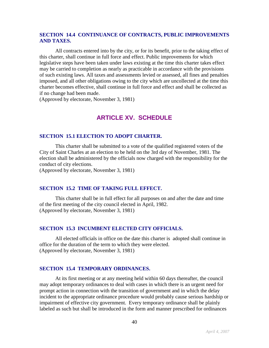#### **SECTION 14.4 CONTINUANCE OF CONTRACTS, PUBLIC IMPROVEMENTS AND TAXES.**

All contracts entered into by the city, or for its benefit, prior to the taking effect of this charter, shall continue in full force and effect. Public improvements for which legislative steps have been taken under laws existing at the time this charter takes effect may be carried to completion as nearly as practicable in accordance with the provisions of such existing laws. All taxes and assessments levied or assessed, all fines and penalties imposed, and all other obligations owing to the city which are uncollected at the time this charter becomes effective, shall continue in full force and effect and shall be collected as if no change had been made.

(Approved by electorate, November 3, 1981)

## **ARTICLE XV. SCHEDULE**

#### **SECTION 15.1 ELECTION TO ADOPT CHARTER.**

This charter shall be submitted to a vote of the qualified registered voters of the City of Saint Charles at an election to be held on the 3rd day of November, 1981. The election shall be administered by the officials now charged with the responsibility for the conduct of city elections.

(Approved by electorate, November 3, 1981)

#### **SECTION 15.2 TIME OF TAKING FULL EFFECT.**

This charter shall be in full effect for all purposes on and after the date and time of the first meeting of the city council elected in April, 1982. (Approved by electorate, November 3, 1981)

#### **SECTION 15.3 INCUMBENT ELECTED CITY OFFICIALS.**

All elected officials in office on the date this charter is adopted shall continue in office for the duration of the term to which they were elected. (Approved by electorate, November 3, 1981)

#### **SECTION 15.4 TEMPORARY ORDINANCES.**

At its first meeting or at any meeting held within 60 days thereafter, the council may adopt temporary ordinances to deal with cases in which there is an urgent need for prompt action in connection with the transition of government and in which the delay incident to the appropriate ordinance procedure would probably cause serious hardship or impairment of effective city government. Every temporary ordinance shall be plainly labeled as such but shall be introduced in the form and manner prescribed for ordinances